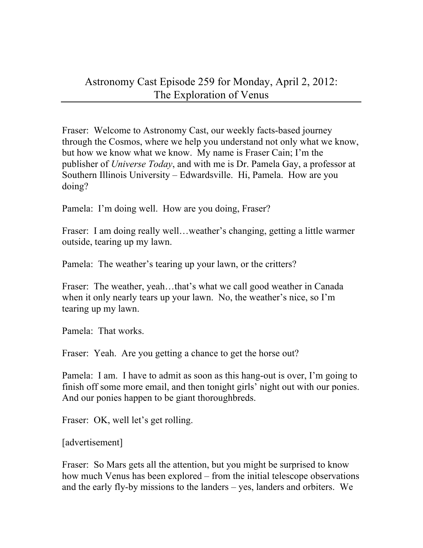Fraser: Welcome to Astronomy Cast, our weekly facts-based journey through the Cosmos, where we help you understand not only what we know, but how we know what we know. My name is Fraser Cain; I'm the publisher of *Universe Today*, and with me is Dr. Pamela Gay, a professor at Southern Illinois University – Edwardsville. Hi, Pamela. How are you doing?

Pamela: I'm doing well. How are you doing, Fraser?

Fraser: I am doing really well…weather's changing, getting a little warmer outside, tearing up my lawn.

Pamela: The weather's tearing up your lawn, or the critters?

Fraser: The weather, yeah…that's what we call good weather in Canada when it only nearly tears up your lawn. No, the weather's nice, so I'm tearing up my lawn.

Pamela: That works.

Fraser: Yeah. Are you getting a chance to get the horse out?

Pamela: I am. I have to admit as soon as this hang-out is over, I'm going to finish off some more email, and then tonight girls' night out with our ponies. And our ponies happen to be giant thoroughbreds.

Fraser: OK, well let's get rolling.

[advertisement]

Fraser: So Mars gets all the attention, but you might be surprised to know how much Venus has been explored – from the initial telescope observations and the early fly-by missions to the landers – yes, landers and orbiters. We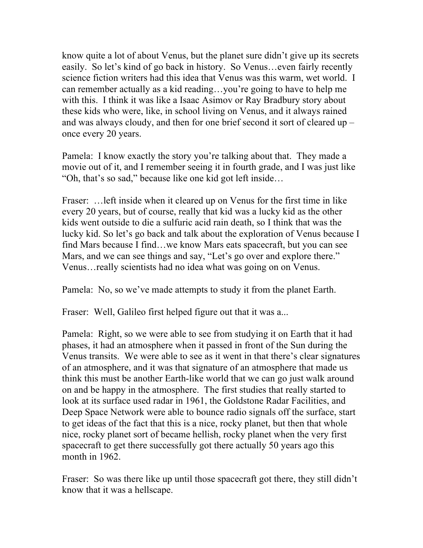know quite a lot of about Venus, but the planet sure didn't give up its secrets easily. So let's kind of go back in history. So Venus…even fairly recently science fiction writers had this idea that Venus was this warm, wet world. I can remember actually as a kid reading…you're going to have to help me with this. I think it was like a Isaac Asimov or Ray Bradbury story about these kids who were, like, in school living on Venus, and it always rained and was always cloudy, and then for one brief second it sort of cleared up – once every 20 years.

Pamela: I know exactly the story you're talking about that. They made a movie out of it, and I remember seeing it in fourth grade, and I was just like "Oh, that's so sad," because like one kid got left inside…

Fraser: …left inside when it cleared up on Venus for the first time in like every 20 years, but of course, really that kid was a lucky kid as the other kids went outside to die a sulfuric acid rain death, so I think that was the lucky kid. So let's go back and talk about the exploration of Venus because I find Mars because I find…we know Mars eats spacecraft, but you can see Mars, and we can see things and say, "Let's go over and explore there." Venus…really scientists had no idea what was going on on Venus.

Pamela: No, so we've made attempts to study it from the planet Earth.

Fraser: Well, Galileo first helped figure out that it was a...

Pamela: Right, so we were able to see from studying it on Earth that it had phases, it had an atmosphere when it passed in front of the Sun during the Venus transits. We were able to see as it went in that there's clear signatures of an atmosphere, and it was that signature of an atmosphere that made us think this must be another Earth-like world that we can go just walk around on and be happy in the atmosphere. The first studies that really started to look at its surface used radar in 1961, the Goldstone Radar Facilities, and Deep Space Network were able to bounce radio signals off the surface, start to get ideas of the fact that this is a nice, rocky planet, but then that whole nice, rocky planet sort of became hellish, rocky planet when the very first spacecraft to get there successfully got there actually 50 years ago this month in 1962.

Fraser: So was there like up until those spacecraft got there, they still didn't know that it was a hellscape.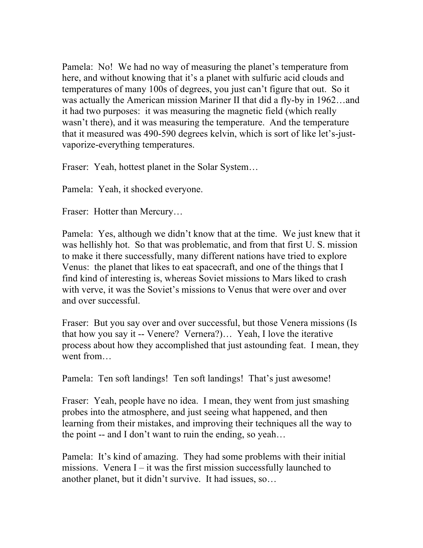Pamela: No! We had no way of measuring the planet's temperature from here, and without knowing that it's a planet with sulfuric acid clouds and temperatures of many 100s of degrees, you just can't figure that out. So it was actually the American mission Mariner II that did a fly-by in 1962…and it had two purposes: it was measuring the magnetic field (which really wasn't there), and it was measuring the temperature. And the temperature that it measured was 490-590 degrees kelvin, which is sort of like let's-justvaporize-everything temperatures.

Fraser: Yeah, hottest planet in the Solar System…

Pamela: Yeah, it shocked everyone.

Fraser: Hotter than Mercury...

Pamela: Yes, although we didn't know that at the time. We just knew that it was hellishly hot. So that was problematic, and from that first U. S. mission to make it there successfully, many different nations have tried to explore Venus: the planet that likes to eat spacecraft, and one of the things that I find kind of interesting is, whereas Soviet missions to Mars liked to crash with verve, it was the Soviet's missions to Venus that were over and over and over successful.

Fraser: But you say over and over successful, but those Venera missions (Is that how you say it -- Venere? Vernera?)… Yeah, I love the iterative process about how they accomplished that just astounding feat. I mean, they went from…

Pamela: Ten soft landings! Ten soft landings! That's just awesome!

Fraser: Yeah, people have no idea. I mean, they went from just smashing probes into the atmosphere, and just seeing what happened, and then learning from their mistakes, and improving their techniques all the way to the point -- and I don't want to ruin the ending, so yeah…

Pamela: It's kind of amazing. They had some problems with their initial missions. Venera  $I - it$  was the first mission successfully launched to another planet, but it didn't survive. It had issues, so…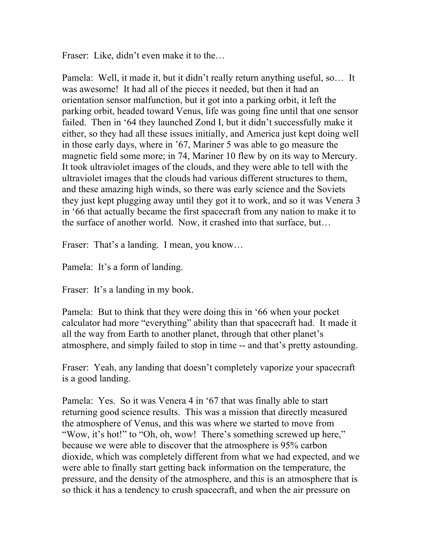Fraser: Like, didn't even make it to the...

Pamela: Well, it made it, but it didn't really return anything useful, so… It was awesome! It had all of the pieces it needed, but then it had an orientation sensor malfunction, but it got into a parking orbit, it left the parking orbit, headed toward Venus, life was going fine until that one sensor failed. Then in '64 they launched Zond I, but it didn't successfully make it either, so they had all these issues initially, and America just kept doing well in those early days, where in '67, Mariner 5 was able to go measure the magnetic field some more; in 74, Mariner 10 flew by on its way to Mercury. It took ultraviolet images of the clouds, and they were able to tell with the ultraviolet images that the clouds had various different structures to them, and these amazing high winds, so there was early science and the Soviets they just kept plugging away until they got it to work, and so it was Venera 3 in '66 that actually became the first spacecraft from any nation to make it to the surface of another world. Now, it crashed into that surface, but…

Fraser: That's a landing. I mean, you know...

Pamela: It's a form of landing.

Fraser: It's a landing in my book.

Pamela: But to think that they were doing this in '66 when your pocket calculator had more "everything" ability than that spacecraft had. It made it all the way from Earth to another planet, through that other planet's atmosphere, and simply failed to stop in time -- and that's pretty astounding.

Fraser: Yeah, any landing that doesn't completely vaporize your spacecraft is a good landing.

Pamela: Yes. So it was Venera 4 in '67 that was finally able to start returning good science results. This was a mission that directly measured the atmosphere of Venus, and this was where we started to move from "Wow, it's hot!" to "Oh, oh, wow! There's something screwed up here," because we were able to discover that the atmosphere is 95% carbon dioxide, which was completely different from what we had expected, and we were able to finally start getting back information on the temperature, the pressure, and the density of the atmosphere, and this is an atmosphere that is so thick it has a tendency to crush spacecraft, and when the air pressure on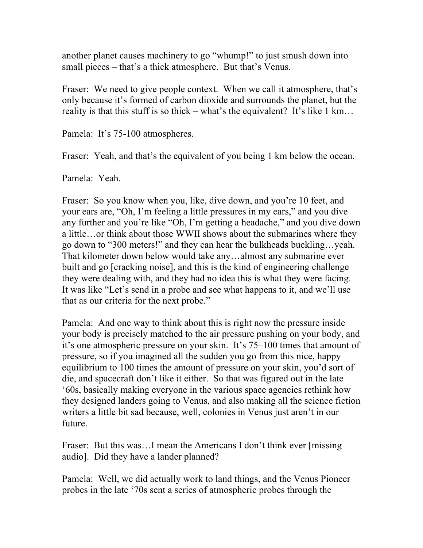another planet causes machinery to go "whump!" to just smush down into small pieces – that's a thick atmosphere. But that's Venus.

Fraser: We need to give people context. When we call it atmosphere, that's only because it's formed of carbon dioxide and surrounds the planet, but the reality is that this stuff is so thick – what's the equivalent? It's like  $1 \text{ km} \dots$ 

Pamela: It's 75-100 atmospheres.

Fraser: Yeah, and that's the equivalent of you being 1 km below the ocean.

Pamela: Yeah.

Fraser: So you know when you, like, dive down, and you're 10 feet, and your ears are, "Oh, I'm feeling a little pressures in my ears," and you dive any further and you're like "Oh, I'm getting a headache," and you dive down a little…or think about those WWII shows about the submarines where they go down to "300 meters!" and they can hear the bulkheads buckling…yeah. That kilometer down below would take any…almost any submarine ever built and go [cracking noise], and this is the kind of engineering challenge they were dealing with, and they had no idea this is what they were facing. It was like "Let's send in a probe and see what happens to it, and we'll use that as our criteria for the next probe."

Pamela: And one way to think about this is right now the pressure inside your body is precisely matched to the air pressure pushing on your body, and it's one atmospheric pressure on your skin. It's 75–100 times that amount of pressure, so if you imagined all the sudden you go from this nice, happy equilibrium to 100 times the amount of pressure on your skin, you'd sort of die, and spacecraft don't like it either. So that was figured out in the late '60s, basically making everyone in the various space agencies rethink how they designed landers going to Venus, and also making all the science fiction writers a little bit sad because, well, colonies in Venus just aren't in our future.

Fraser: But this was…I mean the Americans I don't think ever [missing audio]. Did they have a lander planned?

Pamela: Well, we did actually work to land things, and the Venus Pioneer probes in the late '70s sent a series of atmospheric probes through the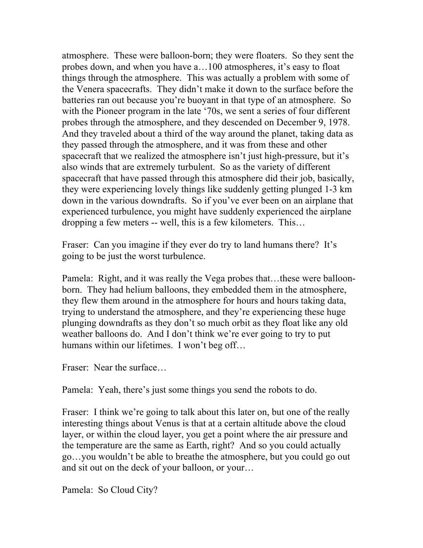atmosphere. These were balloon-born; they were floaters. So they sent the probes down, and when you have a…100 atmospheres, it's easy to float things through the atmosphere. This was actually a problem with some of the Venera spacecrafts. They didn't make it down to the surface before the batteries ran out because you're buoyant in that type of an atmosphere. So with the Pioneer program in the late '70s, we sent a series of four different probes through the atmosphere, and they descended on December 9, 1978. And they traveled about a third of the way around the planet, taking data as they passed through the atmosphere, and it was from these and other spacecraft that we realized the atmosphere isn't just high-pressure, but it's also winds that are extremely turbulent. So as the variety of different spacecraft that have passed through this atmosphere did their job, basically, they were experiencing lovely things like suddenly getting plunged 1-3 km down in the various downdrafts. So if you've ever been on an airplane that experienced turbulence, you might have suddenly experienced the airplane dropping a few meters -- well, this is a few kilometers. This…

Fraser: Can you imagine if they ever do try to land humans there? It's going to be just the worst turbulence.

Pamela: Right, and it was really the Vega probes that…these were balloonborn. They had helium balloons, they embedded them in the atmosphere, they flew them around in the atmosphere for hours and hours taking data, trying to understand the atmosphere, and they're experiencing these huge plunging downdrafts as they don't so much orbit as they float like any old weather balloons do. And I don't think we're ever going to try to put humans within our lifetimes. I won't beg off…

Fraser: Near the surface…

Pamela: Yeah, there's just some things you send the robots to do.

Fraser: I think we're going to talk about this later on, but one of the really interesting things about Venus is that at a certain altitude above the cloud layer, or within the cloud layer, you get a point where the air pressure and the temperature are the same as Earth, right? And so you could actually go…you wouldn't be able to breathe the atmosphere, but you could go out and sit out on the deck of your balloon, or your…

Pamela: So Cloud City?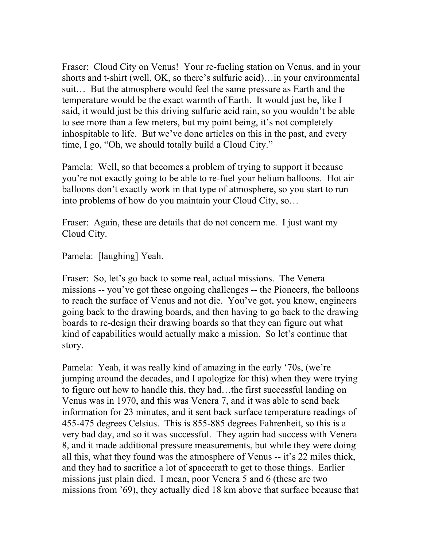Fraser: Cloud City on Venus! Your re-fueling station on Venus, and in your shorts and t-shirt (well, OK, so there's sulfuric acid)…in your environmental suit… But the atmosphere would feel the same pressure as Earth and the temperature would be the exact warmth of Earth. It would just be, like I said, it would just be this driving sulfuric acid rain, so you wouldn't be able to see more than a few meters, but my point being, it's not completely inhospitable to life. But we've done articles on this in the past, and every time, I go, "Oh, we should totally build a Cloud City."

Pamela: Well, so that becomes a problem of trying to support it because you're not exactly going to be able to re-fuel your helium balloons. Hot air balloons don't exactly work in that type of atmosphere, so you start to run into problems of how do you maintain your Cloud City, so…

Fraser: Again, these are details that do not concern me. I just want my Cloud City.

Pamela: [laughing] Yeah.

Fraser: So, let's go back to some real, actual missions. The Venera missions -- you've got these ongoing challenges -- the Pioneers, the balloons to reach the surface of Venus and not die. You've got, you know, engineers going back to the drawing boards, and then having to go back to the drawing boards to re-design their drawing boards so that they can figure out what kind of capabilities would actually make a mission. So let's continue that story.

Pamela: Yeah, it was really kind of amazing in the early '70s, (we're jumping around the decades, and I apologize for this) when they were trying to figure out how to handle this, they had…the first successful landing on Venus was in 1970, and this was Venera 7, and it was able to send back information for 23 minutes, and it sent back surface temperature readings of 455-475 degrees Celsius. This is 855-885 degrees Fahrenheit, so this is a very bad day, and so it was successful. They again had success with Venera 8, and it made additional pressure measurements, but while they were doing all this, what they found was the atmosphere of Venus -- it's 22 miles thick, and they had to sacrifice a lot of spacecraft to get to those things. Earlier missions just plain died. I mean, poor Venera 5 and 6 (these are two missions from '69), they actually died 18 km above that surface because that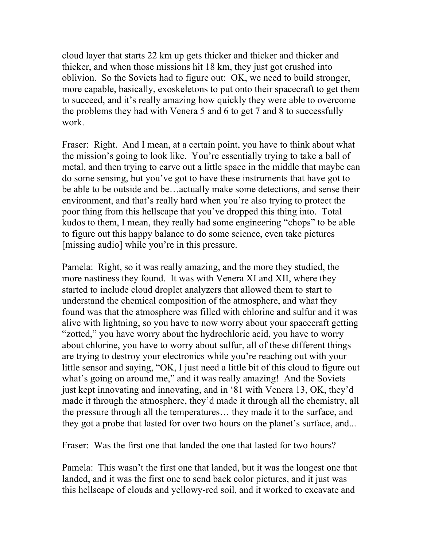cloud layer that starts 22 km up gets thicker and thicker and thicker and thicker, and when those missions hit 18 km, they just got crushed into oblivion. So the Soviets had to figure out: OK, we need to build stronger, more capable, basically, exoskeletons to put onto their spacecraft to get them to succeed, and it's really amazing how quickly they were able to overcome the problems they had with Venera 5 and 6 to get 7 and 8 to successfully work.

Fraser: Right. And I mean, at a certain point, you have to think about what the mission's going to look like. You're essentially trying to take a ball of metal, and then trying to carve out a little space in the middle that maybe can do some sensing, but you've got to have these instruments that have got to be able to be outside and be…actually make some detections, and sense their environment, and that's really hard when you're also trying to protect the poor thing from this hellscape that you've dropped this thing into. Total kudos to them, I mean, they really had some engineering "chops" to be able to figure out this happy balance to do some science, even take pictures [missing audio] while you're in this pressure.

Pamela: Right, so it was really amazing, and the more they studied, the more nastiness they found. It was with Venera XI and XII, where they started to include cloud droplet analyzers that allowed them to start to understand the chemical composition of the atmosphere, and what they found was that the atmosphere was filled with chlorine and sulfur and it was alive with lightning, so you have to now worry about your spacecraft getting "zotted," you have worry about the hydrochloric acid, you have to worry about chlorine, you have to worry about sulfur, all of these different things are trying to destroy your electronics while you're reaching out with your little sensor and saying, "OK, I just need a little bit of this cloud to figure out what's going on around me," and it was really amazing! And the Soviets just kept innovating and innovating, and in '81 with Venera 13, OK, they'd made it through the atmosphere, they'd made it through all the chemistry, all the pressure through all the temperatures… they made it to the surface, and they got a probe that lasted for over two hours on the planet's surface, and...

Fraser: Was the first one that landed the one that lasted for two hours?

Pamela: This wasn't the first one that landed, but it was the longest one that landed, and it was the first one to send back color pictures, and it just was this hellscape of clouds and yellowy-red soil, and it worked to excavate and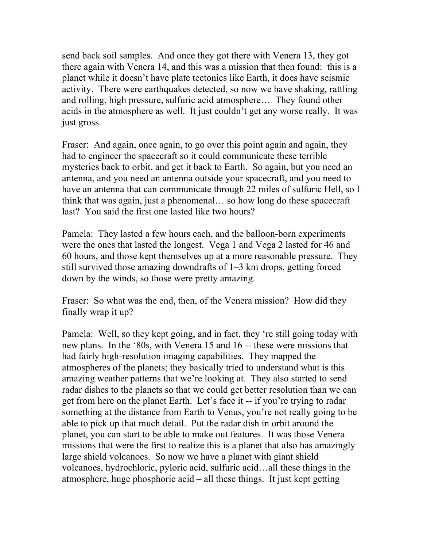send back soil samples. And once they got there with Venera 13, they got there again with Venera 14, and this was a mission that then found: this is a planet while it doesn't have plate tectonics like Earth, it does have seismic activity. There were earthquakes detected, so now we have shaking, rattling and rolling, high pressure, sulfuric acid atmosphere… They found other acids in the atmosphere as well. It just couldn't get any worse really. It was just gross.

Fraser: And again, once again, to go over this point again and again, they had to engineer the spacecraft so it could communicate these terrible mysteries back to orbit, and get it back to Earth. So again, but you need an antenna, and you need an antenna outside your spacecraft, and you need to have an antenna that can communicate through 22 miles of sulfuric Hell, so I think that was again, just a phenomenal… so how long do these spacecraft last? You said the first one lasted like two hours?

Pamela: They lasted a few hours each, and the balloon-born experiments were the ones that lasted the longest. Vega 1 and Vega 2 lasted for 46 and 60 hours, and those kept themselves up at a more reasonable pressure. They still survived those amazing downdrafts of 1–3 km drops, getting forced down by the winds, so those were pretty amazing.

Fraser: So what was the end, then, of the Venera mission? How did they finally wrap it up?

Pamela: Well, so they kept going, and in fact, they 're still going today with new plans. In the '80s, with Venera 15 and 16 -- these were missions that had fairly high-resolution imaging capabilities. They mapped the atmospheres of the planets; they basically tried to understand what is this amazing weather patterns that we're looking at. They also started to send radar dishes to the planets so that we could get better resolution than we can get from here on the planet Earth. Let's face it -- if you're trying to radar something at the distance from Earth to Venus, you're not really going to be able to pick up that much detail. Put the radar dish in orbit around the planet, you can start to be able to make out features. It was those Venera missions that were the first to realize this is a planet that also has amazingly large shield volcanoes. So now we have a planet with giant shield volcanoes, hydrochloric, pyloric acid, sulfuric acid…all these things in the atmosphere, huge phosphoric acid – all these things. It just kept getting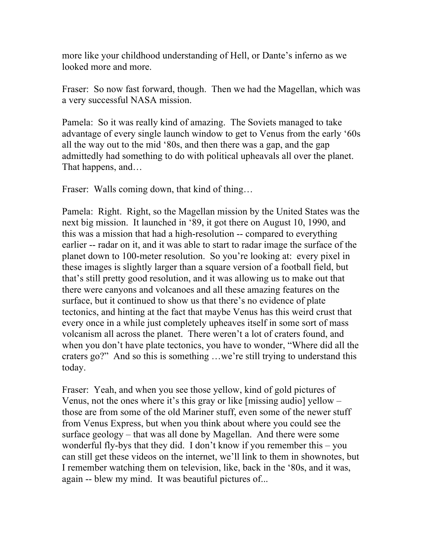more like your childhood understanding of Hell, or Dante's inferno as we looked more and more.

Fraser: So now fast forward, though. Then we had the Magellan, which was a very successful NASA mission.

Pamela: So it was really kind of amazing. The Soviets managed to take advantage of every single launch window to get to Venus from the early '60s all the way out to the mid '80s, and then there was a gap, and the gap admittedly had something to do with political upheavals all over the planet. That happens, and…

Fraser: Walls coming down, that kind of thing...

Pamela: Right. Right, so the Magellan mission by the United States was the next big mission. It launched in '89, it got there on August 10, 1990, and this was a mission that had a high-resolution -- compared to everything earlier -- radar on it, and it was able to start to radar image the surface of the planet down to 100-meter resolution. So you're looking at: every pixel in these images is slightly larger than a square version of a football field, but that's still pretty good resolution, and it was allowing us to make out that there were canyons and volcanoes and all these amazing features on the surface, but it continued to show us that there's no evidence of plate tectonics, and hinting at the fact that maybe Venus has this weird crust that every once in a while just completely upheaves itself in some sort of mass volcanism all across the planet. There weren't a lot of craters found, and when you don't have plate tectonics, you have to wonder, "Where did all the craters go?" And so this is something …we're still trying to understand this today.

Fraser: Yeah, and when you see those yellow, kind of gold pictures of Venus, not the ones where it's this gray or like [missing audio] yellow – those are from some of the old Mariner stuff, even some of the newer stuff from Venus Express, but when you think about where you could see the surface geology – that was all done by Magellan. And there were some wonderful fly-bys that they did. I don't know if you remember this – you can still get these videos on the internet, we'll link to them in shownotes, but I remember watching them on television, like, back in the '80s, and it was, again -- blew my mind. It was beautiful pictures of...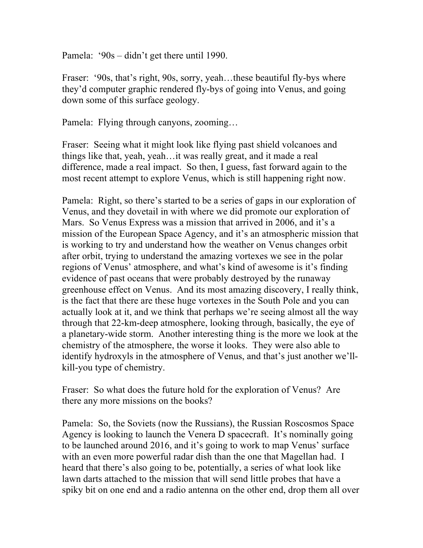Pamela: '90s – didn't get there until 1990.

Fraser: '90s, that's right, 90s, sorry, yeah...these beautiful fly-bys where they'd computer graphic rendered fly-bys of going into Venus, and going down some of this surface geology.

Pamela: Flying through canyons, zooming…

Fraser: Seeing what it might look like flying past shield volcanoes and things like that, yeah, yeah…it was really great, and it made a real difference, made a real impact. So then, I guess, fast forward again to the most recent attempt to explore Venus, which is still happening right now.

Pamela: Right, so there's started to be a series of gaps in our exploration of Venus, and they dovetail in with where we did promote our exploration of Mars. So Venus Express was a mission that arrived in 2006, and it's a mission of the European Space Agency, and it's an atmospheric mission that is working to try and understand how the weather on Venus changes orbit after orbit, trying to understand the amazing vortexes we see in the polar regions of Venus' atmosphere, and what's kind of awesome is it's finding evidence of past oceans that were probably destroyed by the runaway greenhouse effect on Venus. And its most amazing discovery, I really think, is the fact that there are these huge vortexes in the South Pole and you can actually look at it, and we think that perhaps we're seeing almost all the way through that 22-km-deep atmosphere, looking through, basically, the eye of a planetary-wide storm. Another interesting thing is the more we look at the chemistry of the atmosphere, the worse it looks. They were also able to identify hydroxyls in the atmosphere of Venus, and that's just another we'llkill-you type of chemistry.

Fraser: So what does the future hold for the exploration of Venus? Are there any more missions on the books?

Pamela: So, the Soviets (now the Russians), the Russian Roscosmos Space Agency is looking to launch the Venera D spacecraft. It's nominally going to be launched around 2016, and it's going to work to map Venus' surface with an even more powerful radar dish than the one that Magellan had. I heard that there's also going to be, potentially, a series of what look like lawn darts attached to the mission that will send little probes that have a spiky bit on one end and a radio antenna on the other end, drop them all over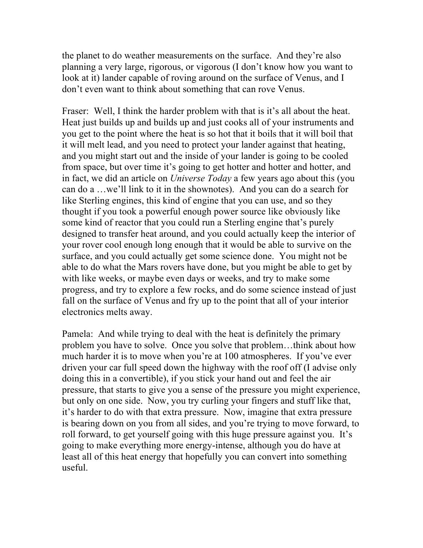the planet to do weather measurements on the surface. And they're also planning a very large, rigorous, or vigorous (I don't know how you want to look at it) lander capable of roving around on the surface of Venus, and I don't even want to think about something that can rove Venus.

Fraser: Well, I think the harder problem with that is it's all about the heat. Heat just builds up and builds up and just cooks all of your instruments and you get to the point where the heat is so hot that it boils that it will boil that it will melt lead, and you need to protect your lander against that heating, and you might start out and the inside of your lander is going to be cooled from space, but over time it's going to get hotter and hotter and hotter, and in fact, we did an article on *Universe Today* a few years ago about this (you can do a …we'll link to it in the shownotes). And you can do a search for like Sterling engines, this kind of engine that you can use, and so they thought if you took a powerful enough power source like obviously like some kind of reactor that you could run a Sterling engine that's purely designed to transfer heat around, and you could actually keep the interior of your rover cool enough long enough that it would be able to survive on the surface, and you could actually get some science done. You might not be able to do what the Mars rovers have done, but you might be able to get by with like weeks, or maybe even days or weeks, and try to make some progress, and try to explore a few rocks, and do some science instead of just fall on the surface of Venus and fry up to the point that all of your interior electronics melts away.

Pamela: And while trying to deal with the heat is definitely the primary problem you have to solve. Once you solve that problem…think about how much harder it is to move when you're at 100 atmospheres. If you've ever driven your car full speed down the highway with the roof off (I advise only doing this in a convertible), if you stick your hand out and feel the air pressure, that starts to give you a sense of the pressure you might experience, but only on one side. Now, you try curling your fingers and stuff like that, it's harder to do with that extra pressure. Now, imagine that extra pressure is bearing down on you from all sides, and you're trying to move forward, to roll forward, to get yourself going with this huge pressure against you. It's going to make everything more energy-intense, although you do have at least all of this heat energy that hopefully you can convert into something useful.